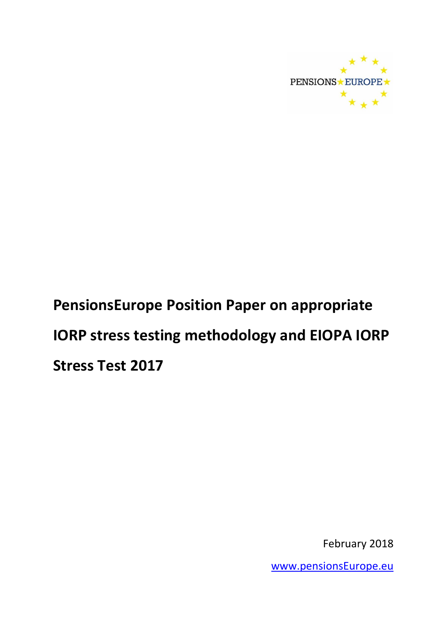

# **PensionsEurope Position Paper on appropriate IORP stress testing methodology and EIOPA IORP Stress Test 2017**

February 2018

[www.pensionsEurope.eu](http://www.pensionseurope.eu/)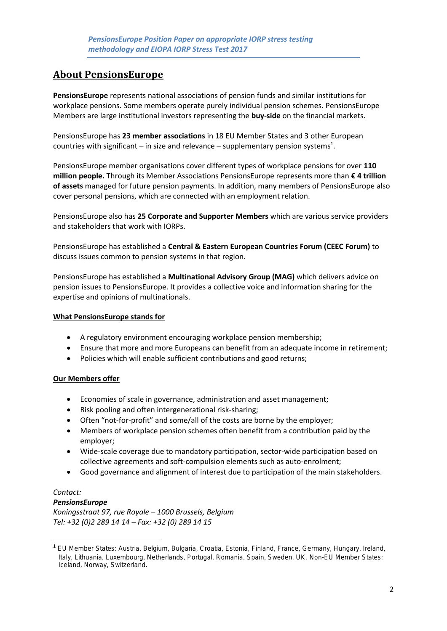# **About PensionsEurope**

**PensionsEurope** represents national associations of pension funds and similar institutions for workplace pensions. Some members operate purely individual pension schemes. PensionsEurope Members are large institutional investors representing the **buy-side** on the financial markets.

PensionsEurope has **23 member associations** in 18 EU Member States and 3 other European countries with significant – in size and relevance – supplementary pension systems<sup>1</sup>.

PensionsEurope member organisations cover different types of workplace pensions for over **110 million people.** Through its Member Associations PensionsEurope represents more than **€ 4 trillion of assets** managed for future pension payments. In addition, many members of PensionsEurope also cover personal pensions, which are connected with an employment relation.

PensionsEurope also has **25 Corporate and Supporter Members** which are various service providers and stakeholders that work with IORPs.

PensionsEurope has established a **Central & Eastern European Countries Forum (CEEC Forum)** to discuss issues common to pension systems in that region.

PensionsEurope has established a **Multinational Advisory Group (MAG)** which delivers advice on pension issues to PensionsEurope. It provides a collective voice and information sharing for the expertise and opinions of multinationals.

#### **What PensionsEurope stands for**

- A regulatory environment encouraging workplace pension membership;
- Ensure that more and more Europeans can benefit from an adequate income in retirement;
- Policies which will enable sufficient contributions and good returns;

#### **Our Members offer**

- Economies of scale in governance, administration and asset management;
- Risk pooling and often intergenerational risk-sharing;
- Often "not-for-profit" and some/all of the costs are borne by the employer;
- Members of workplace pension schemes often benefit from a contribution paid by the employer;
- Wide-scale coverage due to mandatory participation, sector-wide participation based on collective agreements and soft-compulsion elements such as auto-enrolment;
- Good governance and alignment of interest due to participation of the main stakeholders.

# *Contact:*

**.** 

#### *PensionsEurope*

*Koningsstraat 97, rue Royale – 1000 Brussels, Belgium Tel: +32 (0)2 289 14 14 – Fax: +32 (0) 289 14 15*

<sup>1</sup> EU Member States: Austria, Belgium, Bulgaria, Croatia, Estonia, Finland, France, Germany, Hungary, Ireland, Italy, Lithuania, Luxembourg, Netherlands, Portugal, Romania, Spain, Sweden, UK. Non-EU Member States: Iceland, Norway, Switzerland.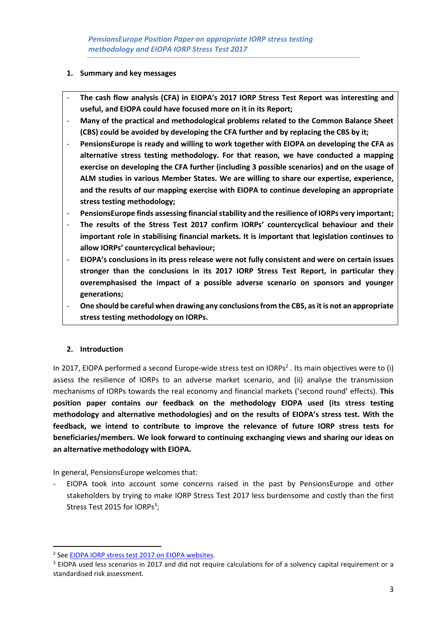#### **1. Summary and key messages**

- **The cash flow analysis (CFA) in EIOPA's 2017 IORP Stress Test Report was interesting and useful, and EIOPA could have focused more on it in its Report;**
- **Many of the practical and methodological problems related to the Common Balance Sheet (CBS) could be avoided by developing the CFA further and by replacing the CBS by it;**
- **PensionsEurope is ready and willing to work together with EIOPA on developing the CFA as alternative stress testing methodology. For that reason, we have conducted a mapping exercise on developing the CFA further (including 3 possible scenarios) and on the usage of ALM studies in various Member States. We are willing to share our expertise, experience, and the results of our mapping exercise with EIOPA to continue developing an appropriate stress testing methodology;**
- **PensionsEurope finds assessing financial stability and the resilience of IORPs very important;**
- **The results of the Stress Test 2017 confirm IORPs' countercyclical behaviour and their important role in stabilising financial markets. It is important that legislation continues to allow IORPs' countercyclical behaviour;**
- **EIOPA's conclusions in its press release were not fully consistent and were on certain issues stronger than the conclusions in its 2017 IORP Stress Test Report, in particular they overemphasised the impact of a possible adverse scenario on sponsors and younger generations;**
- **One should be careful when drawing any conclusions from the CBS, as it is not an appropriate stress testing methodology on IORPs.**

# **2. Introduction**

**.** 

In 2017, EIOPA performed a second Europe-wide stress test on IORPs<sup>2</sup>. Its main objectives were to (i) assess the resilience of IORPs to an adverse market scenario, and (ii) analyse the transmission mechanisms of IORPs towards the real economy and financial markets ('second round' effects). **This position paper contains our feedback on the methodology EIOPA used (its stress testing methodology and alternative methodologies) and on the results of EIOPA's stress test. With the feedback, we intend to contribute to improve the relevance of future IORP stress tests for beneficiaries/members. We look forward to continuing exchanging views and sharing our ideas on an alternative methodology with EIOPA.**

In general, PensionsEurope welcomes that:

EIOPA took into account some concerns raised in the past by PensionsEurope and other stakeholders by trying to make IORP Stress Test 2017 less burdensome and costly than the first Stress Test 2015 for IORPs<sup>3</sup>;

<sup>&</sup>lt;sup>2</sup> See EIOPA IORP stress test 2017 on EIOPA websites.

<sup>&</sup>lt;sup>3</sup> EIOPA used less scenarios in 2017 and did not require calculations for of a solvency capital requirement or a standardised risk assessment.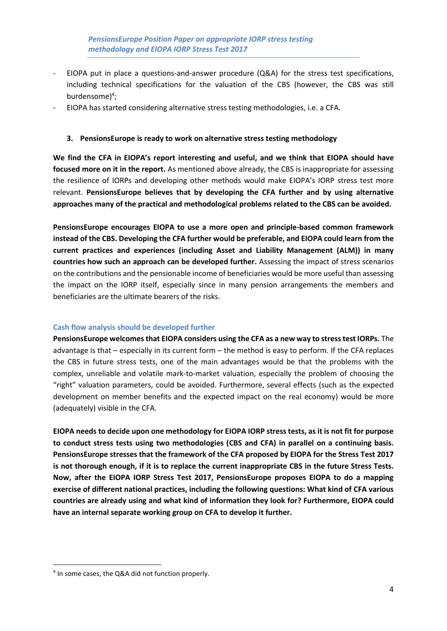- EIOPA put in place a questions-and-answer procedure (Q&A) for the stress test specifications, including technical specifications for the valuation of the CBS (however, the CBS was still burdensome)<sup>4</sup>;
- EIOPA has started considering alternative stress testing methodologies, i.e. a CFA.

#### **3. PensionsEurope is ready to work on alternative stress testing methodology**

**We find the CFA in EIOPA's report interesting and useful, and we think that EIOPA should have focused more on it in the report.** As mentioned above already, the CBS is inappropriate for assessing the resilience of IORPs and developing other methods would make EIOPA's IORP stress test more relevant. **PensionsEurope believes that by developing the CFA further and by using alternative approaches many of the practical and methodological problems related to the CBS can be avoided.**

**PensionsEurope encourages EIOPA to use a more open and principle-based common framework instead of the CBS. Developing the CFA further would be preferable, and EIOPA could learn from the current practices and experiences (including Asset and Liability Management (ALM)) in many countries how such an approach can be developed further.** Assessing the impact of stress scenarios on the contributions and the pensionable income of beneficiaries would be more useful than assessing the impact on the IORP itself, especially since in many pension arrangements the members and beneficiaries are the ultimate bearers of the risks.

#### **Cash flow analysis should be developed further**

**PensionsEurope welcomesthat EIOPA considers using the CFA as a new way to stress test IORPs.** The advantage is that – especially in its current form – the method is easy to perform. If the CFA replaces the CBS in future stress tests, one of the main advantages would be that the problems with the complex, unreliable and volatile mark-to-market valuation, especially the problem of choosing the "right" valuation parameters, could be avoided. Furthermore, several effects (such as the expected development on member benefits and the expected impact on the real economy) would be more (adequately) visible in the CFA.

**EIOPA needs to decide upon one methodology for EIOPA IORP stress tests, as it is not fit for purpose to conduct stress tests using two methodologies (CBS and CFA) in parallel on a continuing basis. PensionsEurope stresses that the framework of the CFA proposed by EIOPA for the Stress Test 2017 is not thorough enough, if it is to replace the current inappropriate CBS in the future Stress Tests. Now, after the EIOPA IORP Stress Test 2017, PensionsEurope proposes EIOPA to do a mapping exercise of different national practices, including the following questions: What kind of CFA various countries are already using and what kind of information they look for? Furthermore, EIOPA could have an internal separate working group on CFA to develop it further.**

1

<sup>4</sup> In some cases, the Q&A did not function properly.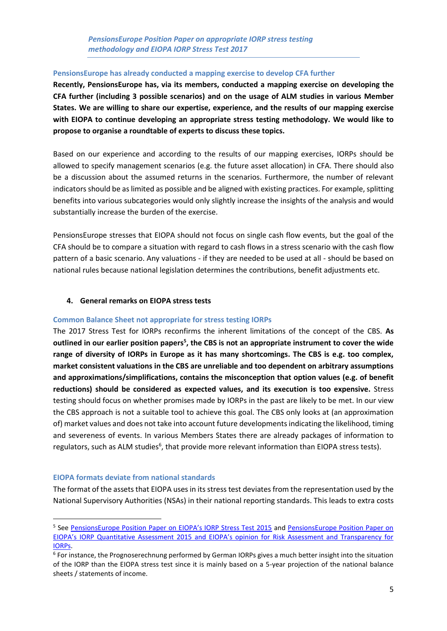#### **PensionsEurope has already conducted a mapping exercise to develop CFA further**

**Recently, PensionsEurope has, via its members, conducted a mapping exercise on developing the CFA further (including 3 possible scenarios) and on the usage of ALM studies in various Member States. We are willing to share our expertise, experience, and the results of our mapping exercise with EIOPA to continue developing an appropriate stress testing methodology. We would like to propose to organise a roundtable of experts to discuss these topics.**

Based on our experience and according to the results of our mapping exercises, IORPs should be allowed to specify management scenarios (e.g. the future asset allocation) in CFA. There should also be a discussion about the assumed returns in the scenarios. Furthermore, the number of relevant indicators should be as limited as possible and be aligned with existing practices. For example, splitting benefits into various subcategories would only slightly increase the insights of the analysis and would substantially increase the burden of the exercise.

PensionsEurope stresses that EIOPA should not focus on single cash flow events, but the goal of the CFA should be to compare a situation with regard to cash flows in a stress scenario with the cash flow pattern of a basic scenario. Any valuations - if they are needed to be used at all - should be based on national rules because national legislation determines the contributions, benefit adjustments etc.

#### **4. General remarks on EIOPA stress tests**

#### **Common Balance Sheet not appropriate for stress testing IORPs**

The 2017 Stress Test for IORPs reconfirms the inherent limitations of the concept of the CBS. **As outlined in our earlier position papers<sup>5</sup> , the CBS is not an appropriate instrument to cover the wide range of diversity of IORPs in Europe as it has many shortcomings. The CBS is e.g. too complex, market consistent valuations in the CBS are unreliable and too dependent on arbitrary assumptions and approximations/simplifications, contains the misconception that option values (e.g. of benefit reductions) should be considered as expected values, and its execution is too expensive.** Stress testing should focus on whether promises made by IORPs in the past are likely to be met. In our view the CBS approach is not a suitable tool to achieve this goal. The CBS only looks at (an approximation of) market values and does not take into account future developments indicating the likelihood, timing and severeness of events. In various Members States there are already packages of information to regulators, such as ALM studies<sup>6</sup>, that provide more relevant information than EIOPA stress tests).

#### **EIOPA formats deviate from national standards**

1

The format of the assets that EIOPA uses in its stress test deviates from the representation used by the National Supervisory Authorities (NSAs) in their national reporting standards. This leads to extra costs

<sup>&</sup>lt;sup>5</sup> See [PensionsEurope Position Paper on EIOPA's IORP Stress Test 2015](http://www.pensionseurope.eu/system/files/PE%20Position%20Paper%20on%20EIOPA%20IORP%20Stress%20tests%20-%20final%20-%202016-02-29.pdf) and PensionsEurope Position Paper on [EIOPA's IORP Quantitative Assessment 2015 and EIOPA's opinion for Risk Assessment and Transparency for](http://www.pensionseurope.eu/system/files/2016.09.15%20-%20PensionsEurope%20Position%20Paper%20on%20QA%20and%20EIOPA%20opinion.pdf)  [IORPs.](http://www.pensionseurope.eu/system/files/2016.09.15%20-%20PensionsEurope%20Position%20Paper%20on%20QA%20and%20EIOPA%20opinion.pdf)

<sup>&</sup>lt;sup>6</sup> For instance, the Prognoserechnung performed by German IORPs gives a much better insight into the situation of the IORP than the EIOPA stress test since it is mainly based on a 5-year projection of the national balance sheets / statements of income.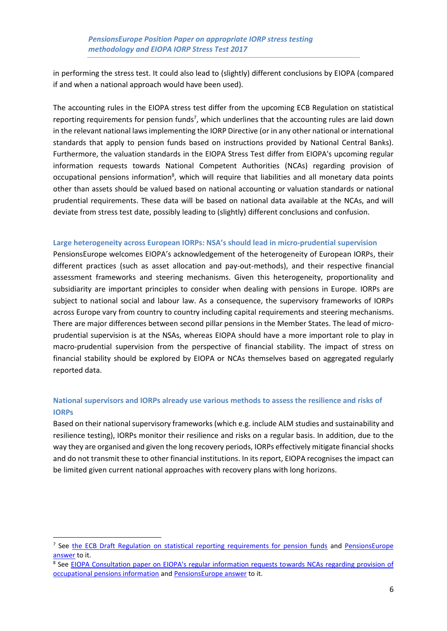in performing the stress test. It could also lead to (slightly) different conclusions by EIOPA (compared if and when a national approach would have been used).

The accounting rules in the EIOPA stress test differ from the upcoming ECB Regulation on statistical reporting requirements for pension funds<sup>7</sup>, which underlines that the accounting rules are laid down in the relevant national laws implementing the IORP Directive (or in any other national or international standards that apply to pension funds based on instructions provided by National Central Banks). Furthermore, the valuation standards in the EIOPA Stress Test differ from EIOPA's upcoming regular information requests towards National Competent Authorities (NCAs) regarding provision of occupational pensions information<sup>8</sup>, which will require that liabilities and all monetary data points other than assets should be valued based on national accounting or valuation standards or national prudential requirements. These data will be based on national data available at the NCAs, and will deviate from stress test date, possibly leading to (slightly) different conclusions and confusion.

#### **Large heterogeneity across European IORPs: NSA's should lead in micro-prudential supervision**

PensionsEurope welcomes EIOPA's acknowledgement of the heterogeneity of European IORPs, their different practices (such as asset allocation and pay-out-methods), and their respective financial assessment frameworks and steering mechanisms. Given this heterogeneity, proportionality and subsidiarity are important principles to consider when dealing with pensions in Europe. IORPs are subject to national social and labour law. As a consequence, the supervisory frameworks of IORPs across Europe vary from country to country including capital requirements and steering mechanisms. There are major differences between second pillar pensions in the Member States. The lead of microprudential supervision is at the NSAs, whereas EIOPA should have a more important role to play in macro-prudential supervision from the perspective of financial stability. The impact of stress on financial stability should be explored by EIOPA or NCAs themselves based on aggregated regularly reported data.

# **National supervisors and IORPs already use various methods to assess the resilience and risks of IORPs**

Based on their national supervisory frameworks (which e.g. include ALM studies and sustainability and resilience testing), IORPs monitor their resilience and risks on a regular basis. In addition, due to the way they are organised and given the long recovery periods, IORPs effectively mitigate financial shocks and do not transmit these to other financial institutions. In its report, EIOPA recognises the impact can be limited given current national approaches with recovery plans with long horizons.

**.** 

<sup>&</sup>lt;sup>7</sup> See [the ECB Draft Regulation on statistical reporting requirements for pension funds](https://www.ecb.europa.eu/stats/ecb_statistics/governance_and_quality_framework/consultations/shared/files/pension_funds/draft_ecb_regulation_on_statistical_reporting_requirements_by_pension_funds_201707.en.pdf) and PensionsEurope [answer](https://www.pensionseurope.eu/system/files/PensionsEurope%20answer%20to%20the%20ECB%20consultation%20-%20FINAL%20-%202017-09-29.pdf) to it.

<sup>&</sup>lt;sup>8</sup> See EIOPA Consultation paper on EIOPA's regular information requests towards NCAs regarding provision of [occupational pensions information](https://eiopa.europa.eu/Pages/Consultations/EIOPA-CP-17-005-Consultation-paper-on-EIOPA%27s-regular-information-requests-towards-NCAs-regarding-provision-of-occupational.aspx) and [PensionsEurope answer](https://www.pensionseurope.eu/pensionseurope-answer-consultation-eiopas-information-requests-pension-funds-0) to it.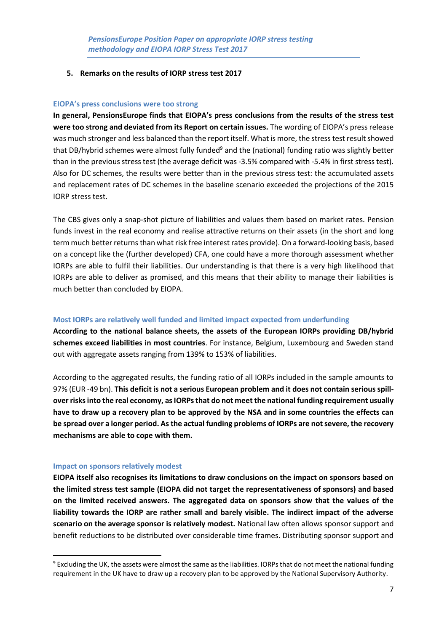#### **5. Remarks on the results of IORP stress test 2017**

#### **EIOPA's press conclusions were too strong**

**In general, PensionsEurope finds that EIOPA's press conclusions from the results of the stress test were too strong and deviated from its Report on certain issues.** The wording of EIOPA's press release was much stronger and less balanced than the report itself. What is more, the stress test result showed that DB/hybrid schemes were almost fully funded<sup>9</sup> and the (national) funding ratio was slightly better than in the previous stress test (the average deficit was -3.5% compared with -5.4% in first stress test). Also for DC schemes, the results were better than in the previous stress test: the accumulated assets and replacement rates of DC schemes in the baseline scenario exceeded the projections of the 2015 IORP stress test.

The CBS gives only a snap-shot picture of liabilities and values them based on market rates. Pension funds invest in the real economy and realise attractive returns on their assets (in the short and long term much better returns than what risk free interest rates provide). On a forward-looking basis, based on a concept like the (further developed) CFA, one could have a more thorough assessment whether IORPs are able to fulfil their liabilities. Our understanding is that there is a very high likelihood that IORPs are able to deliver as promised, and this means that their ability to manage their liabilities is much better than concluded by EIOPA.

#### **Most IORPs are relatively well funded and limited impact expected from underfunding**

**According to the national balance sheets, the assets of the European IORPs providing DB/hybrid schemes exceed liabilities in most countries**. For instance, Belgium, Luxembourg and Sweden stand out with aggregate assets ranging from 139% to 153% of liabilities.

According to the aggregated results, the funding ratio of all IORPs included in the sample amounts to 97% (EUR -49 bn). **This deficit is not a serious European problem and it does not contain serious spillover risks into the real economy, as IORPs that do not meet the national funding requirement usually have to draw up a recovery plan to be approved by the NSA and in some countries the effects can be spread over a longer period. As the actual funding problems of IORPs are not severe, the recovery mechanisms are able to cope with them.**

#### **Impact on sponsors relatively modest**

**.** 

**EIOPA itself also recognises its limitations to draw conclusions on the impact on sponsors based on the limited stress test sample (EIOPA did not target the representativeness of sponsors) and based on the limited received answers. The aggregated data on sponsors show that the values of the liability towards the IORP are rather small and barely visible. The indirect impact of the adverse scenario on the average sponsor is relatively modest.** National law often allows sponsor support and benefit reductions to be distributed over considerable time frames. Distributing sponsor support and

<sup>&</sup>lt;sup>9</sup> Excluding the UK, the assets were almost the same as the liabilities. IORPs that do not meet the national funding requirement in the UK have to draw up a recovery plan to be approved by the National Supervisory Authority.